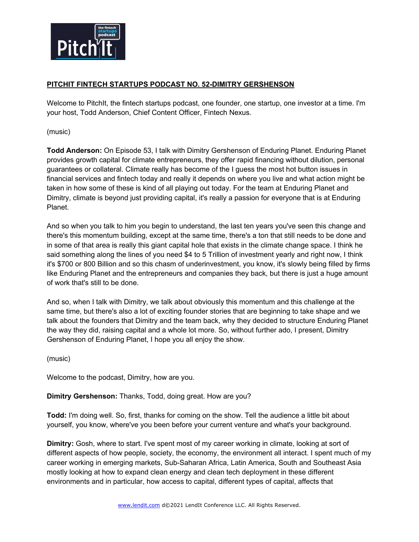

## **PITCHIT FINTECH STARTUPS PODCAST NO. 52-DIMITRY GERSHENSON**

Welcome to PitchIt, the fintech startups podcast, one founder, one startup, one investor at a time. I'm your host, Todd Anderson, Chief Content Officer, Fintech Nexus.

(music)

**Todd Anderson:** On Episode 53, I talk with Dimitry Gershenson of Enduring Planet. Enduring Planet provides growth capital for climate entrepreneurs, they offer rapid financing without dilution, personal guarantees or collateral. Climate really has become of the I guess the most hot button issues in financial services and fintech today and really it depends on where you live and what action might be taken in how some of these is kind of all playing out today. For the team at Enduring Planet and Dimitry, climate is beyond just providing capital, it's really a passion for everyone that is at Enduring Planet.

And so when you talk to him you begin to understand, the last ten years you've seen this change and there's this momentum building, except at the same time, there's a ton that still needs to be done and in some of that area is really this giant capital hole that exists in the climate change space. I think he said something along the lines of you need \$4 to 5 Trillion of investment yearly and right now, I think it's \$700 or 800 Billion and so this chasm of underinvestment, you know, it's slowly being filled by firms like Enduring Planet and the entrepreneurs and companies they back, but there is just a huge amount of work that's still to be done.

And so, when I talk with Dimitry, we talk about obviously this momentum and this challenge at the same time, but there's also a lot of exciting founder stories that are beginning to take shape and we talk about the founders that Dimitry and the team back, why they decided to structure Enduring Planet the way they did, raising capital and a whole lot more. So, without further ado, I present, Dimitry Gershenson of Enduring Planet, I hope you all enjoy the show.

(music)

Welcome to the podcast, Dimitry, how are you.

**Dimitry Gershenson:** Thanks, Todd, doing great. How are you?

**Todd:** I'm doing well. So, first, thanks for coming on the show. Tell the audience a little bit about yourself, you know, where've you been before your current venture and what's your background.

**Dimitry:** Gosh, where to start. I've spent most of my career working in climate, looking at sort of different aspects of how people, society, the economy, the environment all interact. I spent much of my career working in emerging markets, Sub-Saharan Africa, Latin America, South and Southeast Asia mostly looking at how to expand clean energy and clean tech deployment in these different environments and in particular, how access to capital, different types of capital, affects that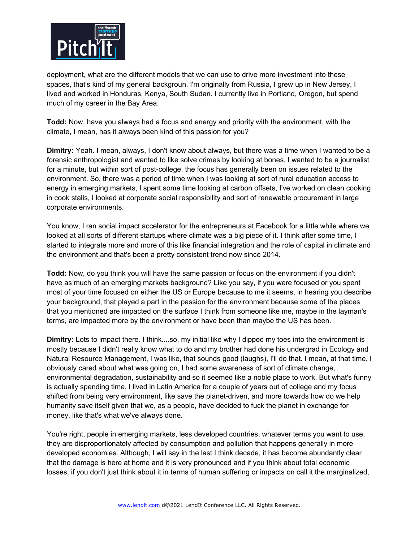

deployment, what are the different models that we can use to drive more investment into these spaces, that's kind of my general backgroun. I'm originally from Russia, I grew up in New Jersey, I lived and worked in Honduras, Kenya, South Sudan. I currently live in Portland, Oregon, but spend much of my career in the Bay Area.

**Todd:** Now, have you always had a focus and energy and priority with the environment, with the climate, I mean, has it always been kind of this passion for you?

**Dimitry:** Yeah. I mean, always, I don't know about always, but there was a time when I wanted to be a forensic anthropologist and wanted to like solve crimes by looking at bones, I wanted to be a journalist for a minute, but within sort of post-college, the focus has generally been on issues related to the environment. So, there was a period of time when I was looking at sort of rural education access to energy in emerging markets, I spent some time looking at carbon offsets, I've worked on clean cooking in cook stalls, I looked at corporate social responsibility and sort of renewable procurement in large corporate environments.

You know, I ran social impact accelerator for the entrepreneurs at Facebook for a little while where we looked at all sorts of different startups where climate was a big piece of it. I think after some time, I started to integrate more and more of this like financial integration and the role of capital in climate and the environment and that's been a pretty consistent trend now since 2014.

**Todd:** Now, do you think you will have the same passion or focus on the environment if you didn't have as much of an emerging markets background? Like you say, if you were focused or you spent most of your time focused on either the US or Europe because to me it seems, in hearing you describe your background, that played a part in the passion for the environment because some of the places that you mentioned are impacted on the surface I think from someone like me, maybe in the layman's terms, are impacted more by the environment or have been than maybe the US has been.

**Dimitry:** Lots to impact there. I think....so, my initial like why I dipped my toes into the environment is mostly because I didn't really know what to do and my brother had done his undergrad in Ecology and Natural Resource Management, I was like, that sounds good (laughs), I'll do that. I mean, at that time, I obviously cared about what was going on, I had some awareness of sort of climate change, environmental degradation, sustainability and so it seemed like a noble place to work. But what's funny is actually spending time, I lived in Latin America for a couple of years out of college and my focus shifted from being very environment, like save the planet-driven, and more towards how do we help humanity save itself given that we, as a people, have decided to fuck the planet in exchange for money, like that's what we've always done.

You're right, people in emerging markets, less developed countries, whatever terms you want to use, they are disproportionately affected by consumption and pollution that happens generally in more developed economies. Although, I will say in the last I think decade, it has become abundantly clear that the damage is here at home and it is very pronounced and if you think about total economic losses, if you don't just think about it in terms of human suffering or impacts on call it the marginalized,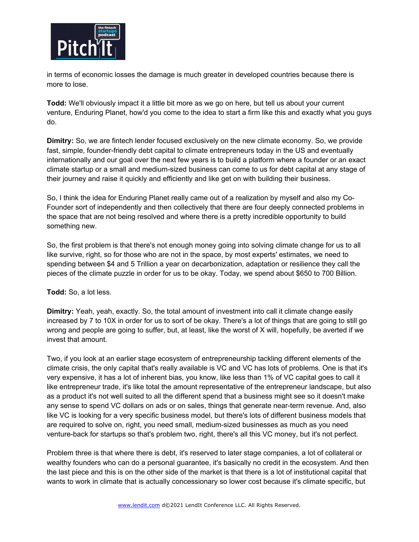

in terms of economic losses the damage is much greater in developed countries because there is more to lose.

**Todd:** We'll obviously impact it a little bit more as we go on here, but tell us about your current venture, Enduring Planet, how'd you come to the idea to start a firm like this and exactly what you guys do.

**Dimitry:** So, we are fintech lender focused exclusively on the new climate economy. So, we provide fast, simple, founder-friendly debt capital to climate entrepreneurs today in the US and eventually internationally and our goal over the next few years is to build a platform where a founder or an exact climate startup or a small and medium-sized business can come to us for debt capital at any stage of their journey and raise it quickly and efficiently and like get on with building their business.

So, I think the idea for Enduring Planet really came out of a realization by myself and also my Co-Founder sort of independently and then collectively that there are four deeply connected problems in the space that are not being resolved and where there is a pretty incredible opportunity to build something new.

So, the first problem is that there's not enough money going into solving climate change for us to all like survive, right, so for those who are not in the space, by most experts' estimates, we need to spending between \$4 and 5 Trillion a year on decarbonization, adaptation or resilience they call the pieces of the climate puzzle in order for us to be okay. Today, we spend about \$650 to 700 Billion.

# **Todd:** So, a lot less.

**Dimitry:** Yeah, yeah, exactly. So, the total amount of investment into call it climate change easily increased by 7 to 10X in order for us to sort of be okay. There's a lot of things that are going to still go wrong and people are going to suffer, but, at least, like the worst of X will, hopefully, be averted if we invest that amount.

Two, if you look at an earlier stage ecosystem of entrepreneurship tackling different elements of the climate crisis, the only capital that's really available is VC and VC has lots of problems. One is that it's very expensive, it has a lot of inherent bias, you know, like less than 1% of VC capital goes to call it like entrepreneur trade, it's like total the amount representative of the entrepreneur landscape, but also as a product it's not well suited to all the different spend that a business might see so it doesn't make any sense to spend VC dollars on ads or on sales, things that generate near-term revenue. And, also like VC is looking for a very specific business model, but there's lots of different business models that are required to solve on, right, you need small, medium-sized businesses as much as you need venture-back for startups so that's problem two, right, there's all this VC money, but it's not perfect.

Problem three is that where there is debt, it's reserved to later stage companies, a lot of collateral or wealthy founders who can do a personal guarantee, it's basically no credit in the ecosystem. And then the last piece and this is on the other side of the market is that there is a lot of institutional capital that wants to work in climate that is actually concessionary so lower cost because it's climate specific, but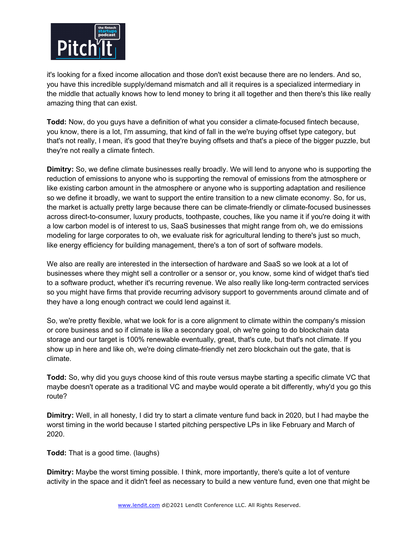

it's looking for a fixed income allocation and those don't exist because there are no lenders. And so, you have this incredible supply/demand mismatch and all it requires is a specialized intermediary in the middle that actually knows how to lend money to bring it all together and then there's this like really amazing thing that can exist.

**Todd:** Now, do you guys have a definition of what you consider a climate-focused fintech because, you know, there is a lot, I'm assuming, that kind of fall in the we're buying offset type category, but that's not really, I mean, it's good that they're buying offsets and that's a piece of the bigger puzzle, but they're not really a climate fintech.

**Dimitry:** So, we define climate businesses really broadly. We will lend to anyone who is supporting the reduction of emissions to anyone who is supporting the removal of emissions from the atmosphere or like existing carbon amount in the atmosphere or anyone who is supporting adaptation and resilience so we define it broadly, we want to support the entire transition to a new climate economy. So, for us, the market is actually pretty large because there can be climate-friendly or climate-focused businesses across direct-to-consumer, luxury products, toothpaste, couches, like you name it if you're doing it with a low carbon model is of interest to us, SaaS businesses that might range from oh, we do emissions modeling for large corporates to oh, we evaluate risk for agricultural lending to there's just so much, like energy efficiency for building management, there's a ton of sort of software models.

We also are really are interested in the intersection of hardware and SaaS so we look at a lot of businesses where they might sell a controller or a sensor or, you know, some kind of widget that's tied to a software product, whether it's recurring revenue. We also really like long-term contracted services so you might have firms that provide recurring advisory support to governments around climate and of they have a long enough contract we could lend against it.

So, we're pretty flexible, what we look for is a core alignment to climate within the company's mission or core business and so if climate is like a secondary goal, oh we're going to do blockchain data storage and our target is 100% renewable eventually, great, that's cute, but that's not climate. If you show up in here and like oh, we're doing climate-friendly net zero blockchain out the gate, that is climate.

**Todd:** So, why did you guys choose kind of this route versus maybe starting a specific climate VC that maybe doesn't operate as a traditional VC and maybe would operate a bit differently, why'd you go this route?

**Dimitry:** Well, in all honesty, I did try to start a climate venture fund back in 2020, but I had maybe the worst timing in the world because I started pitching perspective LPs in like February and March of 2020.

**Todd:** That is a good time. (laughs)

**Dimitry:** Maybe the worst timing possible. I think, more importantly, there's quite a lot of venture activity in the space and it didn't feel as necessary to build a new venture fund, even one that might be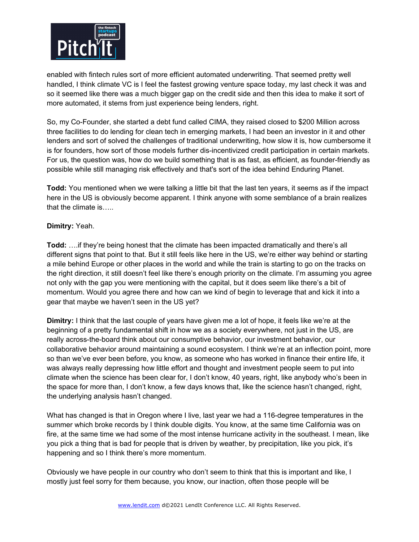

enabled with fintech rules sort of more efficient automated underwriting. That seemed pretty well handled, I think climate VC is I feel the fastest growing venture space today, my last check it was and so it seemed like there was a much bigger gap on the credit side and then this idea to make it sort of more automated, it stems from just experience being lenders, right.

So, my Co-Founder, she started a debt fund called CIMA, they raised closed to \$200 Million across three facilities to do lending for clean tech in emerging markets, I had been an investor in it and other lenders and sort of solved the challenges of traditional underwriting, how slow it is, how cumbersome it is for founders, how sort of those models further dis-incentivized credit participation in certain markets. For us, the question was, how do we build something that is as fast, as efficient, as founder-friendly as possible while still managing risk effectively and that's sort of the idea behind Enduring Planet.

**Todd:** You mentioned when we were talking a little bit that the last ten years, it seems as if the impact here in the US is obviously become apparent. I think anyone with some semblance of a brain realizes that the climate is…..

### **Dimitry:** Yeah.

**Todd:** ….if they're being honest that the climate has been impacted dramatically and there's all different signs that point to that. But it still feels like here in the US, we're either way behind or starting a mile behind Europe or other places in the world and while the train is starting to go on the tracks on the right direction, it still doesn't feel like there's enough priority on the climate. I'm assuming you agree not only with the gap you were mentioning with the capital, but it does seem like there's a bit of momentum. Would you agree there and how can we kind of begin to leverage that and kick it into a gear that maybe we haven't seen in the US yet?

**Dimitry:** I think that the last couple of years have given me a lot of hope, it feels like we're at the beginning of a pretty fundamental shift in how we as a society everywhere, not just in the US, are really across-the-board think about our consumptive behavior, our investment behavior, our collaborative behavior around maintaining a sound ecosystem. I think we're at an inflection point, more so than we've ever been before, you know, as someone who has worked in finance their entire life, it was always really depressing how little effort and thought and investment people seem to put into climate when the science has been clear for, I don't know, 40 years, right, like anybody who's been in the space for more than, I don't know, a few days knows that, like the science hasn't changed, right, the underlying analysis hasn't changed.

What has changed is that in Oregon where I live, last year we had a 116-degree temperatures in the summer which broke records by I think double digits. You know, at the same time California was on fire, at the same time we had some of the most intense hurricane activity in the southeast. I mean, like you pick a thing that is bad for people that is driven by weather, by precipitation, like you pick, it's happening and so I think there's more momentum.

Obviously we have people in our country who don't seem to think that this is important and like, I mostly just feel sorry for them because, you know, our inaction, often those people will be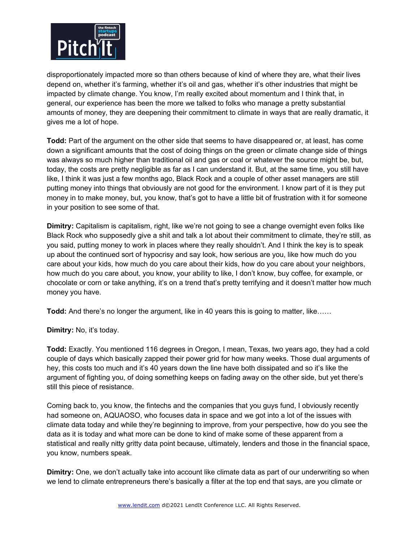

disproportionately impacted more so than others because of kind of where they are, what their lives depend on, whether it's farming, whether it's oil and gas, whether it's other industries that might be impacted by climate change. You know, I'm really excited about momentum and I think that, in general, our experience has been the more we talked to folks who manage a pretty substantial amounts of money, they are deepening their commitment to climate in ways that are really dramatic, it gives me a lot of hope.

**Todd:** Part of the argument on the other side that seems to have disappeared or, at least, has come down a significant amounts that the cost of doing things on the green or climate change side of things was always so much higher than traditional oil and gas or coal or whatever the source might be, but, today, the costs are pretty negligible as far as I can understand it. But, at the same time, you still have like, I think it was just a few months ago, Black Rock and a couple of other asset managers are still putting money into things that obviously are not good for the environment. I know part of it is they put money in to make money, but, you know, that's got to have a little bit of frustration with it for someone in your position to see some of that.

**Dimitry:** Capitalism is capitalism, right, like we're not going to see a change overnight even folks like Black Rock who supposedly give a shit and talk a lot about their commitment to climate, they're still, as you said, putting money to work in places where they really shouldn't. And I think the key is to speak up about the continued sort of hypocrisy and say look, how serious are you, like how much do you care about your kids, how much do you care about their kids, how do you care about your neighbors, how much do you care about, you know, your ability to like, I don't know, buy coffee, for example, or chocolate or corn or take anything, it's on a trend that's pretty terrifying and it doesn't matter how much money you have.

**Todd:** And there's no longer the argument, like in 40 years this is going to matter, like……

**Dimitry:** No, it's today.

**Todd:** Exactly. You mentioned 116 degrees in Oregon, I mean, Texas, two years ago, they had a cold couple of days which basically zapped their power grid for how many weeks. Those dual arguments of hey, this costs too much and it's 40 years down the line have both dissipated and so it's like the argument of fighting you, of doing something keeps on fading away on the other side, but yet there's still this piece of resistance.

Coming back to, you know, the fintechs and the companies that you guys fund, I obviously recently had someone on, AQUAOSO, who focuses data in space and we got into a lot of the issues with climate data today and while they're beginning to improve, from your perspective, how do you see the data as it is today and what more can be done to kind of make some of these apparent from a statistical and really nitty gritty data point because, ultimately, lenders and those in the financial space, you know, numbers speak.

**Dimitry:** One, we don't actually take into account like climate data as part of our underwriting so when we lend to climate entrepreneurs there's basically a filter at the top end that says, are you climate or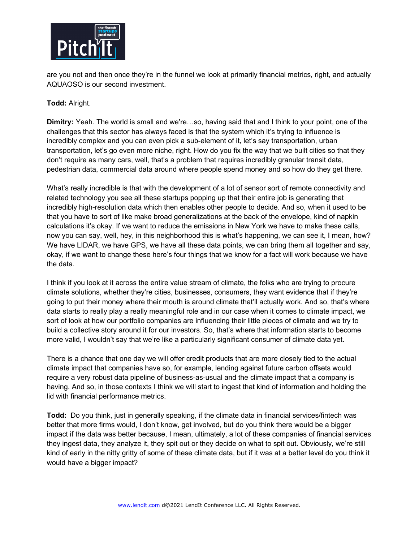

are you not and then once they're in the funnel we look at primarily financial metrics, right, and actually AQUAOSO is our second investment.

### **Todd:** Alright.

**Dimitry:** Yeah. The world is small and we're…so, having said that and I think to your point, one of the challenges that this sector has always faced is that the system which it's trying to influence is incredibly complex and you can even pick a sub-element of it, let's say transportation, urban transportation, let's go even more niche, right. How do you fix the way that we built cities so that they don't require as many cars, well, that's a problem that requires incredibly granular transit data, pedestrian data, commercial data around where people spend money and so how do they get there.

What's really incredible is that with the development of a lot of sensor sort of remote connectivity and related technology you see all these startups popping up that their entire job is generating that incredibly high-resolution data which then enables other people to decide. And so, when it used to be that you have to sort of like make broad generalizations at the back of the envelope, kind of napkin calculations it's okay. If we want to reduce the emissions in New York we have to make these calls, now you can say, well, hey, in this neighborhood this is what's happening, we can see it, I mean, how? We have LIDAR, we have GPS, we have all these data points, we can bring them all together and say, okay, if we want to change these here's four things that we know for a fact will work because we have the data.

I think if you look at it across the entire value stream of climate, the folks who are trying to procure climate solutions, whether they're cities, businesses, consumers, they want evidence that if they're going to put their money where their mouth is around climate that'll actually work. And so, that's where data starts to really play a really meaningful role and in our case when it comes to climate impact, we sort of look at how our portfolio companies are influencing their little pieces of climate and we try to build a collective story around it for our investors. So, that's where that information starts to become more valid, I wouldn't say that we're like a particularly significant consumer of climate data yet.

There is a chance that one day we will offer credit products that are more closely tied to the actual climate impact that companies have so, for example, lending against future carbon offsets would require a very robust data pipeline of business-as-usual and the climate impact that a company is having. And so, in those contexts I think we will start to ingest that kind of information and holding the lid with financial performance metrics.

**Todd:** Do you think, just in generally speaking, if the climate data in financial services/fintech was better that more firms would, I don't know, get involved, but do you think there would be a bigger impact if the data was better because, I mean, ultimately, a lot of these companies of financial services they ingest data, they analyze it, they spit out or they decide on what to spit out. Obviously, we're still kind of early in the nitty gritty of some of these climate data, but if it was at a better level do you think it would have a bigger impact?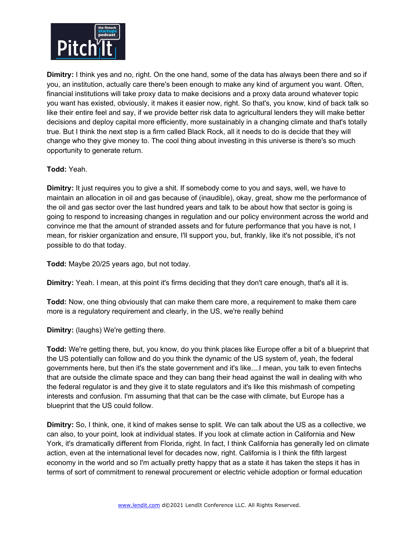

**Dimitry:** I think yes and no, right. On the one hand, some of the data has always been there and so if you, an institution, actually care there's been enough to make any kind of argument you want. Often, financial institutions will take proxy data to make decisions and a proxy data around whatever topic you want has existed, obviously, it makes it easier now, right. So that's, you know, kind of back talk so like their entire feel and say, if we provide better risk data to agricultural lenders they will make better decisions and deploy capital more efficiently, more sustainably in a changing climate and that's totally true. But I think the next step is a firm called Black Rock, all it needs to do is decide that they will change who they give money to. The cool thing about investing in this universe is there's so much opportunity to generate return.

# **Todd:** Yeah.

**Dimitry:** It just requires you to give a shit. If somebody come to you and says, well, we have to maintain an allocation in oil and gas because of (inaudible), okay, great, show me the performance of the oil and gas sector over the last hundred years and talk to be about how that sector is going is going to respond to increasing changes in regulation and our policy environment across the world and convince me that the amount of stranded assets and for future performance that you have is not, I mean, for riskier organization and ensure, I'll support you, but, frankly, like it's not possible, it's not possible to do that today.

**Todd:** Maybe 20/25 years ago, but not today.

**Dimitry:** Yeah. I mean, at this point it's firms deciding that they don't care enough, that's all it is.

**Todd:** Now, one thing obviously that can make them care more, a requirement to make them care more is a regulatory requirement and clearly, in the US, we're really behind

**Dimitry:** (laughs) We're getting there.

**Todd:** We're getting there, but, you know, do you think places like Europe offer a bit of a blueprint that the US potentially can follow and do you think the dynamic of the US system of, yeah, the federal governments here, but then it's the state government and it's like....I mean, you talk to even fintechs that are outside the climate space and they can bang their head against the wall in dealing with who the federal regulator is and they give it to state regulators and it's like this mishmash of competing interests and confusion. I'm assuming that that can be the case with climate, but Europe has a blueprint that the US could follow.

**Dimitry:** So, I think, one, it kind of makes sense to split. We can talk about the US as a collective, we can also, to your point, look at individual states. If you look at climate action in California and New York, it's dramatically different from Florida, right. In fact, I think California has generally led on climate action, even at the international level for decades now, right. California is I think the fifth largest economy in the world and so I'm actually pretty happy that as a state it has taken the steps it has in terms of sort of commitment to renewal procurement or electric vehicle adoption or formal education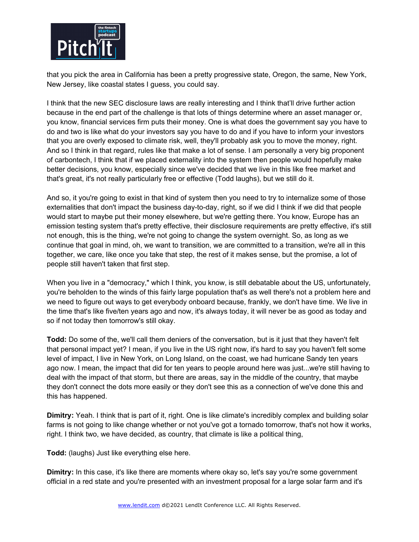

that you pick the area in California has been a pretty progressive state, Oregon, the same, New York, New Jersey, like coastal states I guess, you could say.

I think that the new SEC disclosure laws are really interesting and I think that'll drive further action because in the end part of the challenge is that lots of things determine where an asset manager or, you know, financial services firm puts their money. One is what does the government say you have to do and two is like what do your investors say you have to do and if you have to inform your investors that you are overly exposed to climate risk, well, they'll probably ask you to move the money, right. And so I think in that regard, rules like that make a lot of sense. I am personally a very big proponent of carbontech, I think that if we placed externality into the system then people would hopefully make better decisions, you know, especially since we've decided that we live in this like free market and that's great, it's not really particularly free or effective (Todd laughs), but we still do it.

And so, it you're going to exist in that kind of system then you need to try to internalize some of those externalities that don't impact the business day-to-day, right, so if we did I think if we did that people would start to maybe put their money elsewhere, but we're getting there. You know, Europe has an emission testing system that's pretty effective, their disclosure requirements are pretty effective, it's still not enough, this is the thing, we're not going to change the system overnight. So, as long as we continue that goal in mind, oh, we want to transition, we are committed to a transition, we're all in this together, we care, like once you take that step, the rest of it makes sense, but the promise, a lot of people still haven't taken that first step.

When you live in a "democracy," which I think, you know, is still debatable about the US, unfortunately, you're beholden to the winds of this fairly large population that's as well there's not a problem here and we need to figure out ways to get everybody onboard because, frankly, we don't have time. We live in the time that's like five/ten years ago and now, it's always today, it will never be as good as today and so if not today then tomorrow's still okay.

**Todd:** Do some of the, we'll call them deniers of the conversation, but is it just that they haven't felt that personal impact yet? I mean, if you live in the US right now, it's hard to say you haven't felt some level of impact, I live in New York, on Long Island, on the coast, we had hurricane Sandy ten years ago now. I mean, the impact that did for ten years to people around here was just...we're still having to deal with the impact of that storm, but there are areas, say in the middle of the country, that maybe they don't connect the dots more easily or they don't see this as a connection of we've done this and this has happened.

**Dimitry:** Yeah. I think that is part of it, right. One is like climate's incredibly complex and building solar farms is not going to like change whether or not you've got a tornado tomorrow, that's not how it works, right. I think two, we have decided, as country, that climate is like a political thing,

**Todd:** (laughs) Just like everything else here.

**Dimitry:** In this case, it's like there are moments where okay so, let's say you're some government official in a red state and you're presented with an investment proposal for a large solar farm and it's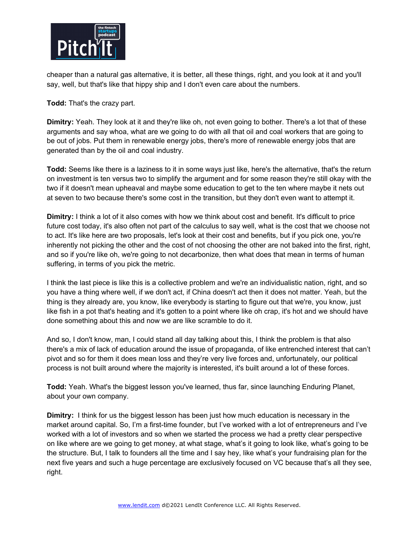

cheaper than a natural gas alternative, it is better, all these things, right, and you look at it and you'll say, well, but that's like that hippy ship and I don't even care about the numbers.

**Todd:** That's the crazy part.

**Dimitry:** Yeah. They look at it and they're like oh, not even going to bother. There's a lot that of these arguments and say whoa, what are we going to do with all that oil and coal workers that are going to be out of jobs. Put them in renewable energy jobs, there's more of renewable energy jobs that are generated than by the oil and coal industry.

**Todd:** Seems like there is a laziness to it in some ways just like, here's the alternative, that's the return on investment is ten versus two to simplify the argument and for some reason they're still okay with the two if it doesn't mean upheaval and maybe some education to get to the ten where maybe it nets out at seven to two because there's some cost in the transition, but they don't even want to attempt it.

**Dimitry:** I think a lot of it also comes with how we think about cost and benefit. It's difficult to price future cost today, it's also often not part of the calculus to say well, what is the cost that we choose not to act. It's like here are two proposals, let's look at their cost and benefits, but if you pick one, you're inherently not picking the other and the cost of not choosing the other are not baked into the first, right, and so if you're like oh, we're going to not decarbonize, then what does that mean in terms of human suffering, in terms of you pick the metric.

I think the last piece is like this is a collective problem and we're an individualistic nation, right, and so you have a thing where well, if we don't act, if China doesn't act then it does not matter. Yeah, but the thing is they already are, you know, like everybody is starting to figure out that we're, you know, just like fish in a pot that's heating and it's gotten to a point where like oh crap, it's hot and we should have done something about this and now we are like scramble to do it.

And so, I don't know, man, I could stand all day talking about this, I think the problem is that also there's a mix of lack of education around the issue of propaganda, of like entrenched interest that can't pivot and so for them it does mean loss and they're very live forces and, unfortunately, our political process is not built around where the majority is interested, it's built around a lot of these forces.

**Todd:** Yeah. What's the biggest lesson you've learned, thus far, since launching Enduring Planet, about your own company.

**Dimitry:** I think for us the biggest lesson has been just how much education is necessary in the market around capital. So, I'm a first-time founder, but I've worked with a lot of entrepreneurs and I've worked with a lot of investors and so when we started the process we had a pretty clear perspective on like where are we going to get money, at what stage, what's it going to look like, what's going to be the structure. But, I talk to founders all the time and I say hey, like what's your fundraising plan for the next five years and such a huge percentage are exclusively focused on VC because that's all they see, right.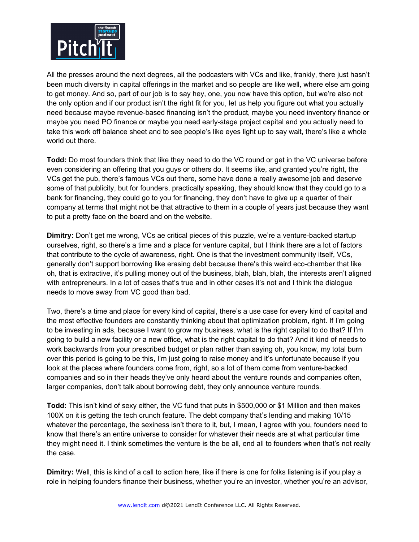

All the presses around the next degrees, all the podcasters with VCs and like, frankly, there just hasn't been much diversity in capital offerings in the market and so people are like well, where else am going to get money. And so, part of our job is to say hey, one, you now have this option, but we're also not the only option and if our product isn't the right fit for you, let us help you figure out what you actually need because maybe revenue-based financing isn't the product, maybe you need inventory finance or maybe you need PO finance or maybe you need early-stage project capital and you actually need to take this work off balance sheet and to see people's like eyes light up to say wait, there's like a whole world out there.

**Todd:** Do most founders think that like they need to do the VC round or get in the VC universe before even considering an offering that you guys or others do. It seems like, and granted you're right, the VCs get the pub, there's famous VCs out there, some have done a really awesome job and deserve some of that publicity, but for founders, practically speaking, they should know that they could go to a bank for financing, they could go to you for financing, they don't have to give up a quarter of their company at terms that might not be that attractive to them in a couple of years just because they want to put a pretty face on the board and on the website.

**Dimitry:** Don't get me wrong, VCs ae critical pieces of this puzzle, we're a venture-backed startup ourselves, right, so there's a time and a place for venture capital, but I think there are a lot of factors that contribute to the cycle of awareness, right. One is that the investment community itself, VCs, generally don't support borrowing like erasing debt because there's this weird eco-chamber that like oh, that is extractive, it's pulling money out of the business, blah, blah, blah, the interests aren't aligned with entrepreneurs. In a lot of cases that's true and in other cases it's not and I think the dialogue needs to move away from VC good than bad.

Two, there's a time and place for every kind of capital, there's a use case for every kind of capital and the most effective founders are constantly thinking about that optimization problem, right. If I'm going to be investing in ads, because I want to grow my business, what is the right capital to do that? If I'm going to build a new facility or a new office, what is the right capital to do that? And it kind of needs to work backwards from your prescribed budget or plan rather than saying oh, you know, my total burn over this period is going to be this, I'm just going to raise money and it's unfortunate because if you look at the places where founders come from, right, so a lot of them come from venture-backed companies and so in their heads they've only heard about the venture rounds and companies often, larger companies, don't talk about borrowing debt, they only announce venture rounds.

**Todd:** This isn't kind of sexy either, the VC fund that puts in \$500,000 or \$1 Million and then makes 100X on it is getting the tech crunch feature. The debt company that's lending and making 10/15 whatever the percentage, the sexiness isn't there to it, but, I mean, I agree with you, founders need to know that there's an entire universe to consider for whatever their needs are at what particular time they might need it. I think sometimes the venture is the be all, end all to founders when that's not really the case.

**Dimitry:** Well, this is kind of a call to action here, like if there is one for folks listening is if you play a role in helping founders finance their business, whether you're an investor, whether you're an advisor,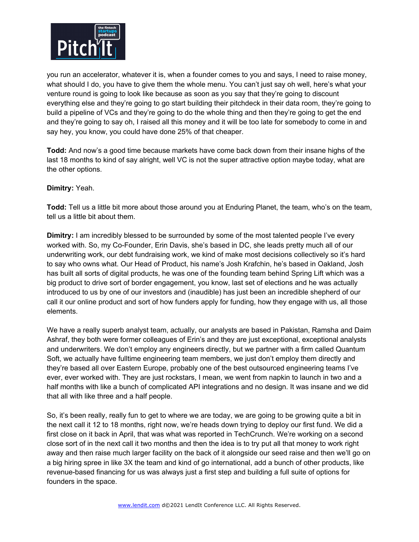

you run an accelerator, whatever it is, when a founder comes to you and says, I need to raise money, what should I do, you have to give them the whole menu. You can't just say oh well, here's what your venture round is going to look like because as soon as you say that they're going to discount everything else and they're going to go start building their pitchdeck in their data room, they're going to build a pipeline of VCs and they're going to do the whole thing and then they're going to get the end and they're going to say oh, I raised all this money and it will be too late for somebody to come in and say hey, you know, you could have done 25% of that cheaper.

**Todd:** And now's a good time because markets have come back down from their insane highs of the last 18 months to kind of say alright, well VC is not the super attractive option maybe today, what are the other options.

### **Dimitry:** Yeah.

**Todd:** Tell us a little bit more about those around you at Enduring Planet, the team, who's on the team, tell us a little bit about them.

**Dimitry:** I am incredibly blessed to be surrounded by some of the most talented people I've every worked with. So, my Co-Founder, Erin Davis, she's based in DC, she leads pretty much all of our underwriting work, our debt fundraising work, we kind of make most decisions collectively so it's hard to say who owns what. Our Head of Product, his name's Josh Krafchin, he's based in Oakland, Josh has built all sorts of digital products, he was one of the founding team behind Spring Lift which was a big product to drive sort of border engagement, you know, last set of elections and he was actually introduced to us by one of our investors and (inaudible) has just been an incredible shepherd of our call it our online product and sort of how funders apply for funding, how they engage with us, all those elements.

We have a really superb analyst team, actually, our analysts are based in Pakistan, Ramsha and Daim Ashraf, they both were former colleagues of Erin's and they are just exceptional, exceptional analysts and underwriters. We don't employ any engineers directly, but we partner with a firm called Quantum Soft, we actually have fulltime engineering team members, we just don't employ them directly and they're based all over Eastern Europe, probably one of the best outsourced engineering teams I've ever, ever worked with. They are just rockstars, I mean, we went from napkin to launch in two and a half months with like a bunch of complicated API integrations and no design. It was insane and we did that all with like three and a half people.

So, it's been really, really fun to get to where we are today, we are going to be growing quite a bit in the next call it 12 to 18 months, right now, we're heads down trying to deploy our first fund. We did a first close on it back in April, that was what was reported in TechCrunch. We're working on a second close sort of in the next call it two months and then the idea is to try put all that money to work right away and then raise much larger facility on the back of it alongside our seed raise and then we'll go on a big hiring spree in like 3X the team and kind of go international, add a bunch of other products, like revenue-based financing for us was always just a first step and building a full suite of options for founders in the space.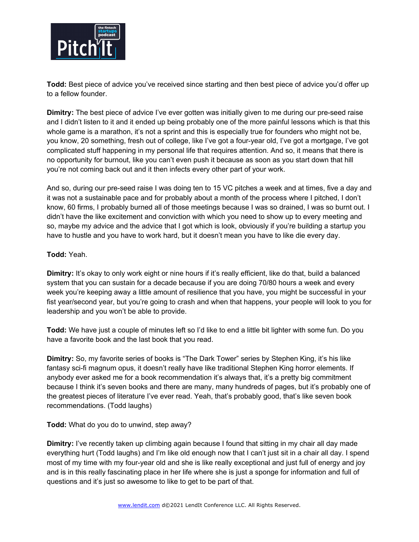

**Todd:** Best piece of advice you've received since starting and then best piece of advice you'd offer up to a fellow founder.

**Dimitry:** The best piece of advice I've ever gotten was initially given to me during our pre-seed raise and I didn't listen to it and it ended up being probably one of the more painful lessons which is that this whole game is a marathon, it's not a sprint and this is especially true for founders who might not be, you know, 20 something, fresh out of college, like I've got a four-year old, I've got a mortgage, I've got complicated stuff happening in my personal life that requires attention. And so, it means that there is no opportunity for burnout, like you can't even push it because as soon as you start down that hill you're not coming back out and it then infects every other part of your work.

And so, during our pre-seed raise I was doing ten to 15 VC pitches a week and at times, five a day and it was not a sustainable pace and for probably about a month of the process where I pitched, I don't know, 60 firms, I probably burned all of those meetings because I was so drained, I was so burnt out. I didn't have the like excitement and conviction with which you need to show up to every meeting and so, maybe my advice and the advice that I got which is look, obviously if you're building a startup you have to hustle and you have to work hard, but it doesn't mean you have to like die every day.

### **Todd:** Yeah.

**Dimitry:** It's okay to only work eight or nine hours if it's really efficient, like do that, build a balanced system that you can sustain for a decade because if you are doing 70/80 hours a week and every week you're keeping away a little amount of resilience that you have, you might be successful in your fist year/second year, but you're going to crash and when that happens, your people will look to you for leadership and you won't be able to provide.

**Todd:** We have just a couple of minutes left so I'd like to end a little bit lighter with some fun. Do you have a favorite book and the last book that you read.

**Dimitry:** So, my favorite series of books is "The Dark Tower" series by Stephen King, it's his like fantasy sci-fi magnum opus, it doesn't really have like traditional Stephen King horror elements. If anybody ever asked me for a book recommendation it's always that, it's a pretty big commitment because I think it's seven books and there are many, many hundreds of pages, but it's probably one of the greatest pieces of literature I've ever read. Yeah, that's probably good, that's like seven book recommendations. (Todd laughs)

**Todd:** What do you do to unwind, step away?

**Dimitry:** I've recently taken up climbing again because I found that sitting in my chair all day made everything hurt (Todd laughs) and I'm like old enough now that I can't just sit in a chair all day. I spend most of my time with my four-year old and she is like really exceptional and just full of energy and joy and is in this really fascinating place in her life where she is just a sponge for information and full of questions and it's just so awesome to like to get to be part of that.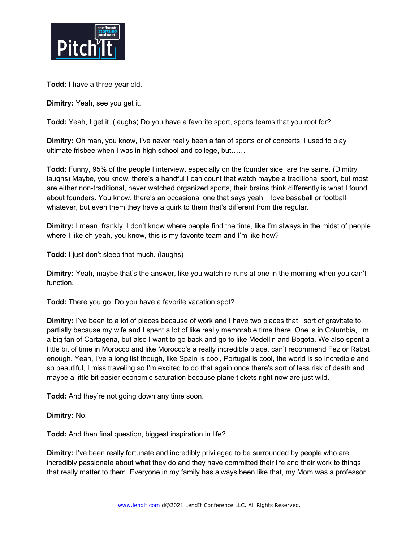

**Todd:** I have a three-year old.

**Dimitry:** Yeah, see you get it.

**Todd:** Yeah, I get it. (laughs) Do you have a favorite sport, sports teams that you root for?

**Dimitry:** Oh man, you know, I've never really been a fan of sports or of concerts. I used to play ultimate frisbee when I was in high school and college, but……

**Todd:** Funny, 95% of the people I interview, especially on the founder side, are the same. (Dimitry laughs) Maybe, you know, there's a handful I can count that watch maybe a traditional sport, but most are either non-traditional, never watched organized sports, their brains think differently is what I found about founders. You know, there's an occasional one that says yeah, I love baseball or football, whatever, but even them they have a quirk to them that's different from the regular.

**Dimitry:** I mean, frankly, I don't know where people find the time, like I'm always in the midst of people where I like oh yeah, you know, this is my favorite team and I'm like how?

**Todd:** I just don't sleep that much. (laughs)

**Dimitry:** Yeah, maybe that's the answer, like you watch re-runs at one in the morning when you can't function.

**Todd:** There you go. Do you have a favorite vacation spot?

**Dimitry:** I've been to a lot of places because of work and I have two places that I sort of gravitate to partially because my wife and I spent a lot of like really memorable time there. One is in Columbia, I'm a big fan of Cartagena, but also I want to go back and go to like Medellin and Bogota. We also spent a little bit of time in Morocco and like Morocco's a really incredible place, can't recommend Fez or Rabat enough. Yeah, I've a long list though, like Spain is cool, Portugal is cool, the world is so incredible and so beautiful, I miss traveling so I'm excited to do that again once there's sort of less risk of death and maybe a little bit easier economic saturation because plane tickets right now are just wild.

**Todd:** And they're not going down any time soon.

**Dimitry:** No.

**Todd:** And then final question, biggest inspiration in life?

**Dimitry:** I've been really fortunate and incredibly privileged to be surrounded by people who are incredibly passionate about what they do and they have committed their life and their work to things that really matter to them. Everyone in my family has always been like that, my Mom was a professor